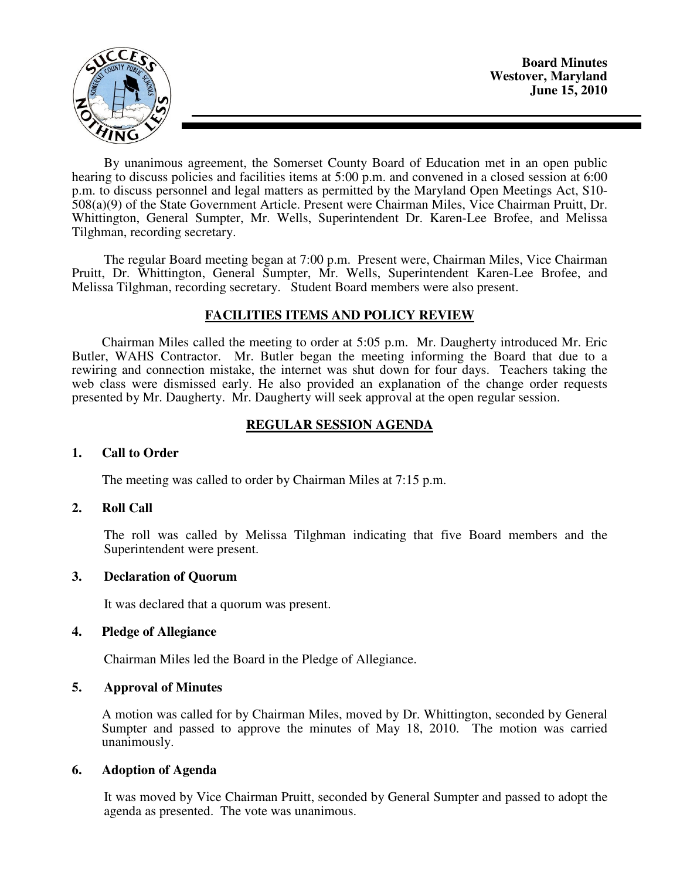

By unanimous agreement, the Somerset County Board of Education met in an open public hearing to discuss policies and facilities items at 5:00 p.m. and convened in a closed session at 6:00 p.m. to discuss personnel and legal matters as permitted by the Maryland Open Meetings Act, S10- 508(a)(9) of the State Government Article. Present were Chairman Miles, Vice Chairman Pruitt, Dr. Whittington, General Sumpter, Mr. Wells, Superintendent Dr. Karen-Lee Brofee, and Melissa Tilghman, recording secretary.

The regular Board meeting began at 7:00 p.m. Present were, Chairman Miles, Vice Chairman Pruitt, Dr. Whittington, General Sumpter, Mr. Wells, Superintendent Karen-Lee Brofee, and Melissa Tilghman, recording secretary. Student Board members were also present.

## **FACILITIES ITEMS AND POLICY REVIEW**

 Chairman Miles called the meeting to order at 5:05 p.m. Mr. Daugherty introduced Mr. Eric Butler, WAHS Contractor. Mr. Butler began the meeting informing the Board that due to a rewiring and connection mistake, the internet was shut down for four days. Teachers taking the web class were dismissed early. He also provided an explanation of the change order requests presented by Mr. Daugherty. Mr. Daugherty will seek approval at the open regular session.

# **REGULAR SESSION AGENDA**

#### **1. Call to Order**

The meeting was called to order by Chairman Miles at 7:15 p.m.

## **2. Roll Call**

The roll was called by Melissa Tilghman indicating that five Board members and the Superintendent were present.

## **3. Declaration of Quorum**

It was declared that a quorum was present.

## **4. Pledge of Allegiance**

Chairman Miles led the Board in the Pledge of Allegiance.

## **5. Approval of Minutes**

A motion was called for by Chairman Miles, moved by Dr. Whittington, seconded by General Sumpter and passed to approve the minutes of May 18, 2010. The motion was carried unanimously.

## **6. Adoption of Agenda**

 It was moved by Vice Chairman Pruitt, seconded by General Sumpter and passed to adopt the agenda as presented. The vote was unanimous.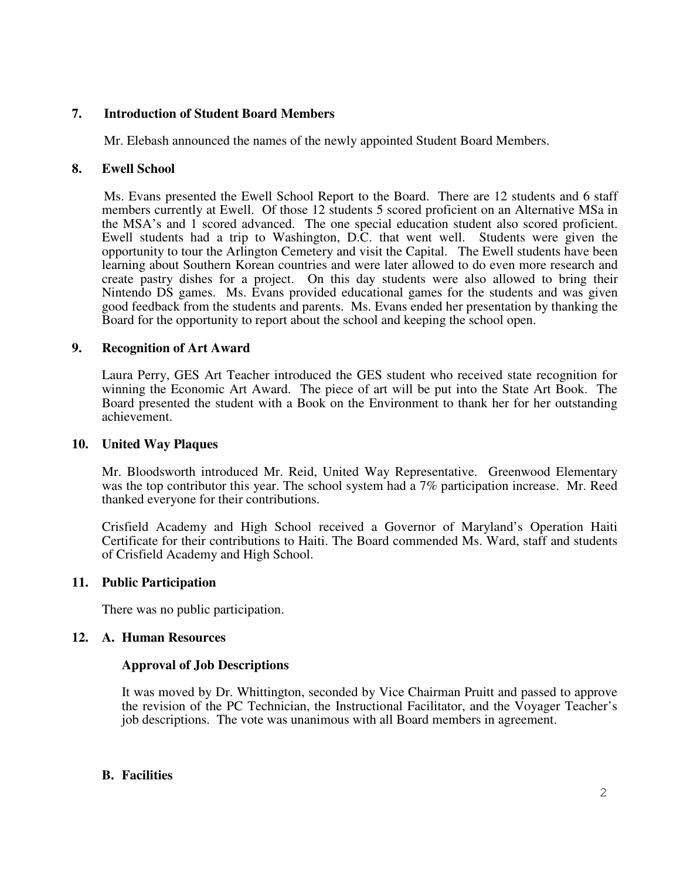# **7. Introduction of Student Board Members**

Mr. Elebash announced the names of the newly appointed Student Board Members.

# **8. Ewell School**

 Ms. Evans presented the Ewell School Report to the Board. There are 12 students and 6 staff members currently at Ewell. Of those 12 students 5 scored proficient on an Alternative MSa in the MSA's and 1 scored advanced. The one special education student also scored proficient. Ewell students had a trip to Washington, D.C. that went well. Students were given the opportunity to tour the Arlington Cemetery and visit the Capital. The Ewell students have been learning about Southern Korean countries and were later allowed to do even more research and create pastry dishes for a project. On this day students were also allowed to bring their Nintendo DS games. Ms. Evans provided educational games for the students and was given good feedback from the students and parents. Ms. Evans ended her presentation by thanking the Board for the opportunity to report about the school and keeping the school open.

# **9. Recognition of Art Award**

Laura Perry, GES Art Teacher introduced the GES student who received state recognition for winning the Economic Art Award. The piece of art will be put into the State Art Book. The Board presented the student with a Book on the Environment to thank her for her outstanding achievement.

## **10. United Way Plaques**

Mr. Bloodsworth introduced Mr. Reid, United Way Representative. Greenwood Elementary was the top contributor this year. The school system had a 7% participation increase. Mr. Reed thanked everyone for their contributions.

Crisfield Academy and High School received a Governor of Maryland's Operation Haiti Certificate for their contributions to Haiti. The Board commended Ms. Ward, staff and students of Crisfield Academy and High School.

## **11. Public Participation**

There was no public participation.

# **12. A. Human Resources**

# **Approval of Job Descriptions**

It was moved by Dr. Whittington, seconded by Vice Chairman Pruitt and passed to approve the revision of the PC Technician, the Instructional Facilitator, and the Voyager Teacher's job descriptions. The vote was unanimous with all Board members in agreement.

# **B. Facilities**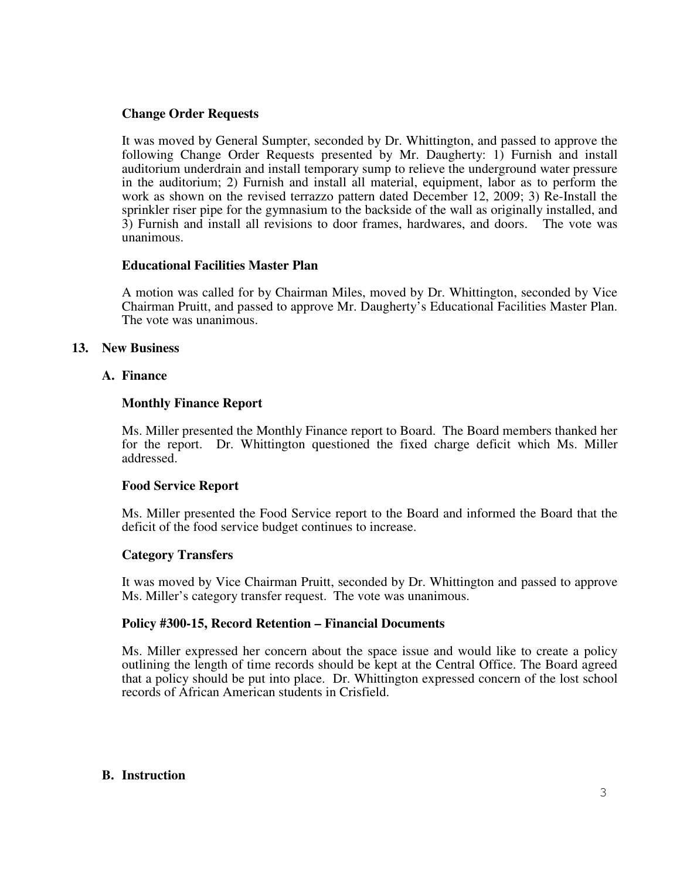## **Change Order Requests**

It was moved by General Sumpter, seconded by Dr. Whittington, and passed to approve the following Change Order Requests presented by Mr. Daugherty: 1) Furnish and install auditorium underdrain and install temporary sump to relieve the underground water pressure in the auditorium; 2) Furnish and install all material, equipment, labor as to perform the work as shown on the revised terrazzo pattern dated December 12, 2009; 3) Re-Install the sprinkler riser pipe for the gymnasium to the backside of the wall as originally installed, and 3) Furnish and install all revisions to door frames, hardwares, and doors. The vote was unanimous.

## **Educational Facilities Master Plan**

A motion was called for by Chairman Miles, moved by Dr. Whittington, seconded by Vice Chairman Pruitt, and passed to approve Mr. Daugherty's Educational Facilities Master Plan. The vote was unanimous.

## **13. New Business**

## **A. Finance**

### **Monthly Finance Report**

Ms. Miller presented the Monthly Finance report to Board. The Board members thanked her for the report. Dr. Whittington questioned the fixed charge deficit which Ms. Miller addressed.

#### **Food Service Report**

Ms. Miller presented the Food Service report to the Board and informed the Board that the deficit of the food service budget continues to increase.

#### **Category Transfers**

It was moved by Vice Chairman Pruitt, seconded by Dr. Whittington and passed to approve Ms. Miller's category transfer request. The vote was unanimous.

#### **Policy #300-15, Record Retention – Financial Documents**

Ms. Miller expressed her concern about the space issue and would like to create a policy outlining the length of time records should be kept at the Central Office. The Board agreed that a policy should be put into place. Dr. Whittington expressed concern of the lost school records of African American students in Crisfield.

#### **B. Instruction**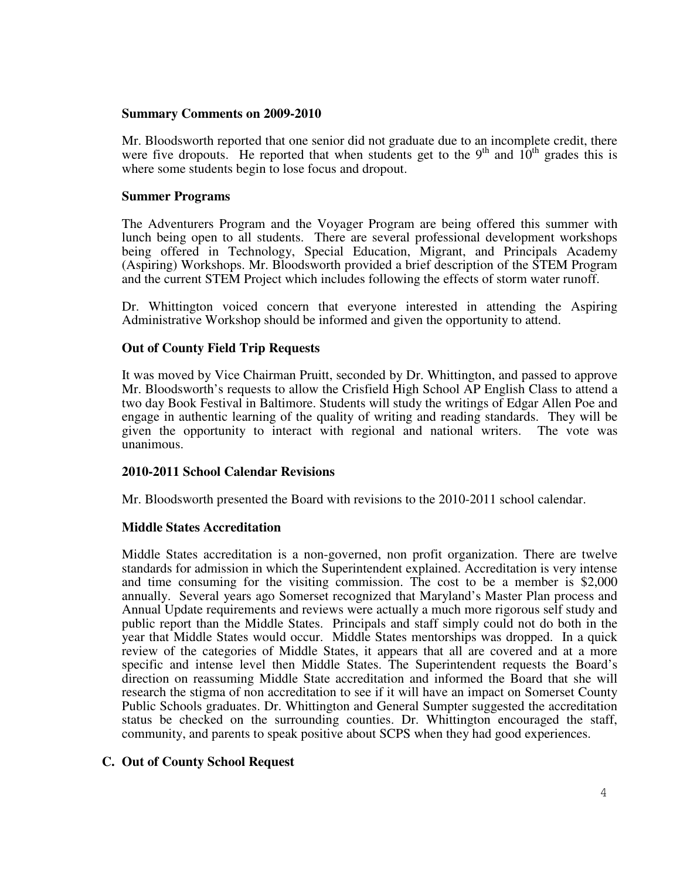#### **Summary Comments on 2009-2010**

Mr. Bloodsworth reported that one senior did not graduate due to an incomplete credit, there were five dropouts. He reported that when students get to the 9<sup>th</sup> and  $10<sup>th</sup>$  grades this is where some students begin to lose focus and dropout.

## **Summer Programs**

The Adventurers Program and the Voyager Program are being offered this summer with lunch being open to all students. There are several professional development workshops being offered in Technology, Special Education, Migrant, and Principals Academy (Aspiring) Workshops. Mr. Bloodsworth provided a brief description of the STEM Program and the current STEM Project which includes following the effects of storm water runoff.

Dr. Whittington voiced concern that everyone interested in attending the Aspiring Administrative Workshop should be informed and given the opportunity to attend.

## **Out of County Field Trip Requests**

It was moved by Vice Chairman Pruitt, seconded by Dr. Whittington, and passed to approve Mr. Bloodsworth's requests to allow the Crisfield High School AP English Class to attend a two day Book Festival in Baltimore. Students will study the writings of Edgar Allen Poe and engage in authentic learning of the quality of writing and reading standards. They will be given the opportunity to interact with regional and national writers. The vote was unanimous.

## **2010-2011 School Calendar Revisions**

Mr. Bloodsworth presented the Board with revisions to the 2010-2011 school calendar.

## **Middle States Accreditation**

Middle States accreditation is a non-governed, non profit organization. There are twelve standards for admission in which the Superintendent explained. Accreditation is very intense and time consuming for the visiting commission. The cost to be a member is \$2,000 annually. Several years ago Somerset recognized that Maryland's Master Plan process and Annual Update requirements and reviews were actually a much more rigorous self study and public report than the Middle States. Principals and staff simply could not do both in the year that Middle States would occur. Middle States mentorships was dropped. In a quick review of the categories of Middle States, it appears that all are covered and at a more specific and intense level then Middle States. The Superintendent requests the Board's direction on reassuming Middle State accreditation and informed the Board that she will research the stigma of non accreditation to see if it will have an impact on Somerset County Public Schools graduates. Dr. Whittington and General Sumpter suggested the accreditation status be checked on the surrounding counties. Dr. Whittington encouraged the staff, community, and parents to speak positive about SCPS when they had good experiences.

## **C. Out of County School Request**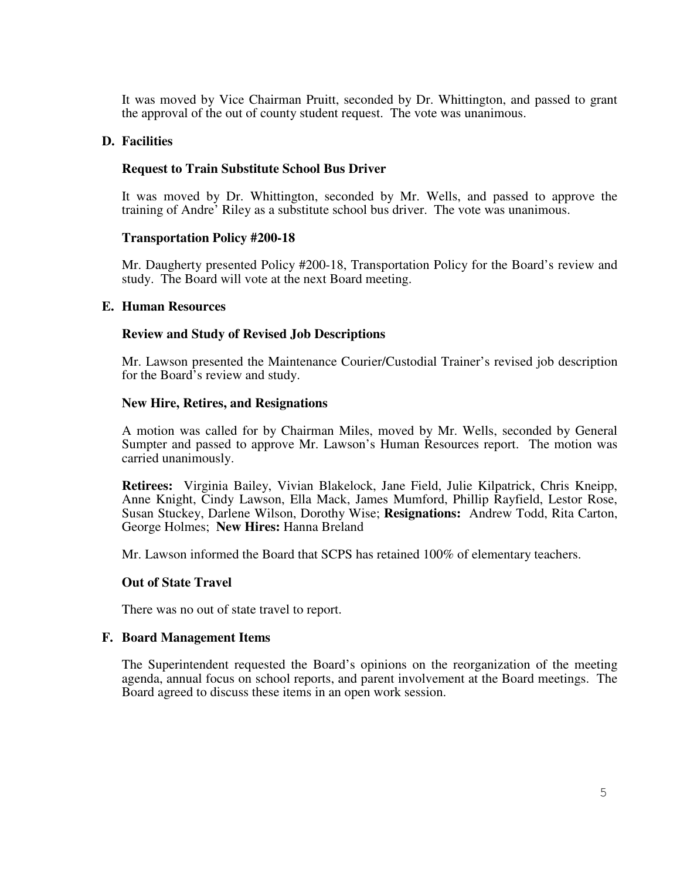It was moved by Vice Chairman Pruitt, seconded by Dr. Whittington, and passed to grant the approval of the out of county student request. The vote was unanimous.

### **D. Facilities**

#### **Request to Train Substitute School Bus Driver**

It was moved by Dr. Whittington, seconded by Mr. Wells, and passed to approve the training of Andre' Riley as a substitute school bus driver. The vote was unanimous.

#### **Transportation Policy #200-18**

Mr. Daugherty presented Policy #200-18, Transportation Policy for the Board's review and study. The Board will vote at the next Board meeting.

#### **E. Human Resources**

### **Review and Study of Revised Job Descriptions**

Mr. Lawson presented the Maintenance Courier/Custodial Trainer's revised job description for the Board's review and study.

#### **New Hire, Retires, and Resignations**

A motion was called for by Chairman Miles, moved by Mr. Wells, seconded by General Sumpter and passed to approve Mr. Lawson's Human Resources report. The motion was carried unanimously.

**Retirees:** Virginia Bailey, Vivian Blakelock, Jane Field, Julie Kilpatrick, Chris Kneipp, Anne Knight, Cindy Lawson, Ella Mack, James Mumford, Phillip Rayfield, Lestor Rose, Susan Stuckey, Darlene Wilson, Dorothy Wise; **Resignations:** Andrew Todd, Rita Carton, George Holmes; **New Hires:** Hanna Breland

Mr. Lawson informed the Board that SCPS has retained 100% of elementary teachers.

#### **Out of State Travel**

There was no out of state travel to report.

#### **F. Board Management Items**

The Superintendent requested the Board's opinions on the reorganization of the meeting agenda, annual focus on school reports, and parent involvement at the Board meetings. The Board agreed to discuss these items in an open work session.